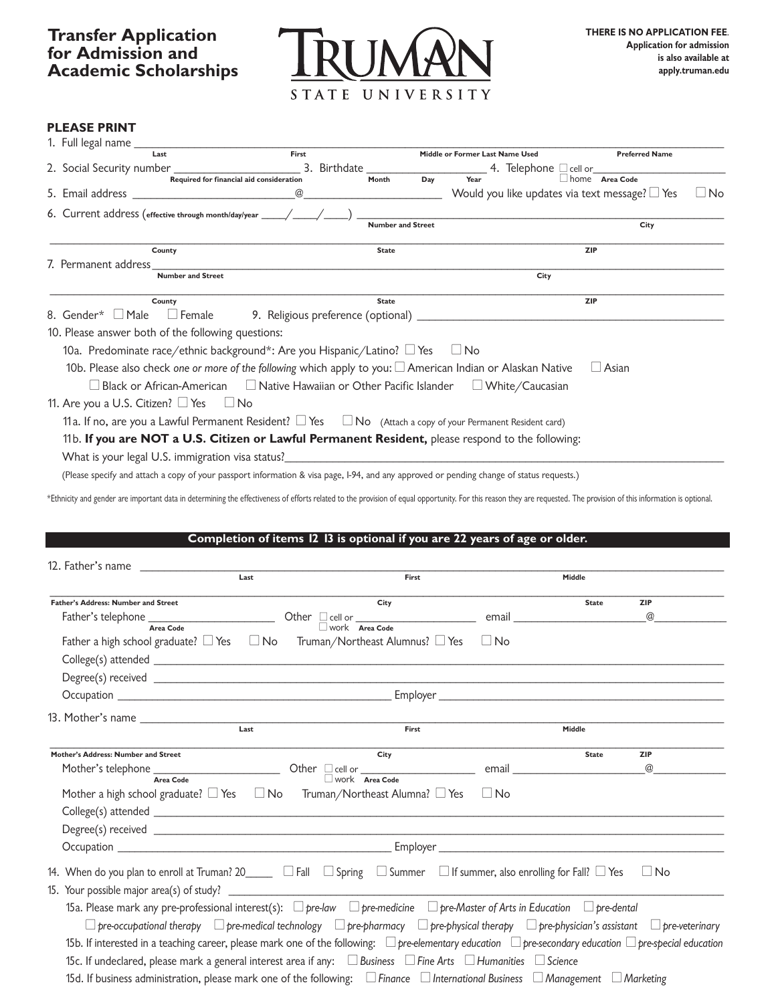

#### **PLEASE PRINT**

| 1. Full legal name _                                                                                                             |               |                          |     |                                 |                                       |                                                     |             |
|----------------------------------------------------------------------------------------------------------------------------------|---------------|--------------------------|-----|---------------------------------|---------------------------------------|-----------------------------------------------------|-------------|
| Last                                                                                                                             | First         |                          |     | Middle or Former Last Name Used |                                       | <b>Preferred Name</b>                               |             |
| 2. Social Security number _                                                                                                      | 3. Birthdate_ |                          |     |                                 | 4. Telephone cell or <u>contained</u> |                                                     |             |
| Required for financial aid consideration                                                                                         |               | Month                    | Day | Year                            |                                       | home Area Code                                      |             |
| 5. Email address and the control of the control of the control of the control of the control of the control of                   | @             |                          |     |                                 |                                       | Would you like updates via text message? $\Box$ Yes | $\sqcup$ No |
| 6. Current address (effective through month/day/year _____/____/____)                                                            |               |                          |     |                                 |                                       |                                                     |             |
|                                                                                                                                  |               | <b>Number and Street</b> |     |                                 |                                       | City                                                |             |
| County                                                                                                                           |               | <b>State</b>             |     |                                 |                                       | <b>ZIP</b>                                          |             |
| 7. Permanent address                                                                                                             |               |                          |     |                                 |                                       |                                                     |             |
| <b>Number and Street</b>                                                                                                         |               |                          |     |                                 | City                                  |                                                     |             |
| County                                                                                                                           |               | <b>State</b>             |     |                                 |                                       | <b>ZIP</b>                                          |             |
| 8. Gender* $\Box$ Male<br>□ Female 29. Religious preference (optional) ___________________________________                       |               |                          |     |                                 |                                       |                                                     |             |
| 10. Please answer both of the following questions:                                                                               |               |                          |     |                                 |                                       |                                                     |             |
| 10a. Predominate race/ethnic background*: Are you Hispanic/Latino? $\Box$ Yes $\Box$ No                                          |               |                          |     |                                 |                                       |                                                     |             |
| 10b. Please also check one or more of the following which apply to you: $\Box$ American Indian or Alaskan Native<br>$\Box$ Asian |               |                          |     |                                 |                                       |                                                     |             |
| $\Box$ Black or African-American $\hfill\Box$ Native Hawaiian or Other Pacific Islander $\hfill\Box$ White/Caucasian             |               |                          |     |                                 |                                       |                                                     |             |
| 11. Are you a U.S. Citizen? $\Box$ Yes $\Box$ No                                                                                 |               |                          |     |                                 |                                       |                                                     |             |
| 11a. If no, are you a Lawful Permanent Resident? □ Yes □ No (Attach a copy of your Permanent Resident card)                      |               |                          |     |                                 |                                       |                                                     |             |
| 11b. If you are NOT a U.S. Citizen or Lawful Permanent Resident, please respond to the following:                                |               |                          |     |                                 |                                       |                                                     |             |
| What is your legal U.S. immigration visa status?                                                                                 |               |                          |     |                                 |                                       |                                                     |             |

(Please specify and attach a copy of your passport information & visa page I-94 and any approved or pending change of status requests.)

\*Ethnicity and gender are important data in determining the effectiveness of efforts related to the provision of equal opportunity. For this reason they are requested. The provision of this information is optional.

| Last                                                                                                                                                                   | First                                                                                                                                                                |    | Middle                                                                                                        |            |  |
|------------------------------------------------------------------------------------------------------------------------------------------------------------------------|----------------------------------------------------------------------------------------------------------------------------------------------------------------------|----|---------------------------------------------------------------------------------------------------------------|------------|--|
| <b>Father's Address: Number and Street</b>                                                                                                                             | City                                                                                                                                                                 |    | <b>State</b>                                                                                                  | <b>ZIP</b> |  |
| $\frac{1}{\text{Father's telephone}}$ $\frac{1}{\text{Area Code}}$ Other $\frac{1}{\text{level or}}$ $\frac{1}{\text{Area Code}}$                                      |                                                                                                                                                                      |    | email and the contract of the contract of the contract of the contract of the contract of the contract of the | $^{\circ}$ |  |
| Father a high school graduate? $\Box$ Yes $\Box$ No Truman/Northeast Alumnus? $\Box$ Yes                                                                               |                                                                                                                                                                      | No |                                                                                                               |            |  |
|                                                                                                                                                                        |                                                                                                                                                                      |    |                                                                                                               |            |  |
|                                                                                                                                                                        |                                                                                                                                                                      |    |                                                                                                               |            |  |
|                                                                                                                                                                        |                                                                                                                                                                      |    |                                                                                                               |            |  |
|                                                                                                                                                                        |                                                                                                                                                                      |    |                                                                                                               |            |  |
| Last                                                                                                                                                                   | First                                                                                                                                                                |    | Middle                                                                                                        |            |  |
| Mother's Address: Number and Street                                                                                                                                    | City                                                                                                                                                                 |    | <b>State</b>                                                                                                  | <b>ZIP</b> |  |
| Mother's telephone $\frac{1}{\text{Area Code}}$ Other $\Box$ cell or $\frac{1}{\text{Area Code}}$                                                                      |                                                                                                                                                                      |    | email and the contract of the contract of the contract of the contract of the contract of the contract of the | @          |  |
| Mother a high school graduate? $\Box$ Yes $\Box$ No Truman/Northeast Alumna? $\Box$ Yes $\Box$ No                                                                      |                                                                                                                                                                      |    |                                                                                                               |            |  |
|                                                                                                                                                                        |                                                                                                                                                                      |    |                                                                                                               |            |  |
|                                                                                                                                                                        |                                                                                                                                                                      |    |                                                                                                               |            |  |
|                                                                                                                                                                        |                                                                                                                                                                      |    |                                                                                                               |            |  |
| 14. When do you plan to enroll at Truman? 20_____ $\Box$ Fall $\Box$ Spring $\Box$ Summer $\Box$ If summer, also enrolling for Fall? $\Box$ Yes<br>$\Box$ No           |                                                                                                                                                                      |    |                                                                                                               |            |  |
| 15a. Please mark any pre-professional interest(s): $\Box$ pre-law $\Box$ pre-medicine $\Box$ pre-Master of Arts in Education $\Box$ pre-dental                         |                                                                                                                                                                      |    |                                                                                                               |            |  |
|                                                                                                                                                                        | $\Box$ pre-occupational therapy $\Box$ pre-medical technology $\Box$ pre-pharmacy $\Box$ pre-physical therapy $\Box$ pre-physician's assistant $\Box$ pre-veterinary |    |                                                                                                               |            |  |
| 15b. If interested in a teaching career, please mark one of the following: $\Box$ pre-elementary education $\Box$ pre-secondary education $\Box$ pre-special education |                                                                                                                                                                      |    |                                                                                                               |            |  |
| 15c. If undeclared, please mark a general interest area if any: $\Box$ Business $\Box$ Fine Arts $\Box$ Humanities $\Box$ Science                                      |                                                                                                                                                                      |    |                                                                                                               |            |  |
| 15d. If business administration, please mark one of the following: $\Box$ Finance $\Box$ International Business $\Box$ Management $\Box$ Marketing                     |                                                                                                                                                                      |    |                                                                                                               |            |  |
|                                                                                                                                                                        |                                                                                                                                                                      |    |                                                                                                               |            |  |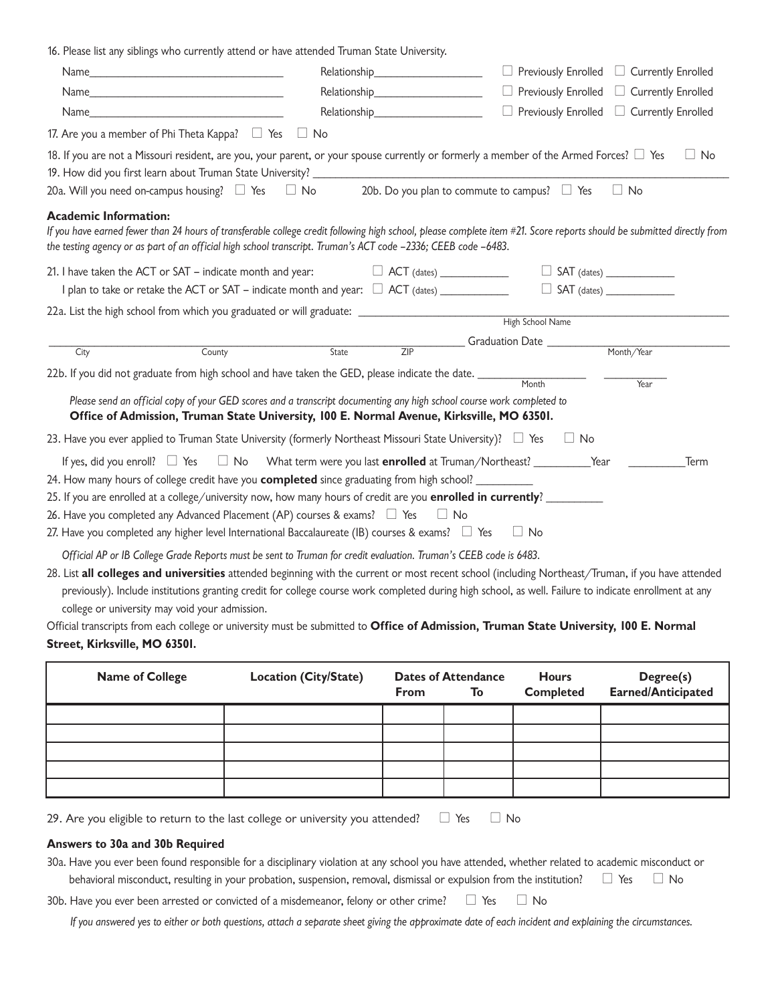16. Please list any siblings who currently attend or have attended Truman State University.

|                                                                                                                                                                                                                                                                                                                                                                                                                                                                                |                                                                                                                                                                                                                                 |                  | Previously Enrolled □ Currently Enrolled             |
|--------------------------------------------------------------------------------------------------------------------------------------------------------------------------------------------------------------------------------------------------------------------------------------------------------------------------------------------------------------------------------------------------------------------------------------------------------------------------------|---------------------------------------------------------------------------------------------------------------------------------------------------------------------------------------------------------------------------------|------------------|------------------------------------------------------|
|                                                                                                                                                                                                                                                                                                                                                                                                                                                                                | Relationship<br>expansion of the state of the state of the state of the state of the state of the state of the state of the state of the state of the state of the state of the state of the state of the state of the state of |                  | $\Box$ Previously Enrolled $\Box$ Currently Enrolled |
| Name                                                                                                                                                                                                                                                                                                                                                                                                                                                                           |                                                                                                                                                                                                                                 |                  | $\Box$ Previously Enrolled $\Box$ Currently Enrolled |
| 17. Are you a member of Phi Theta Kappa? $\Box$ Yes $\Box$ No                                                                                                                                                                                                                                                                                                                                                                                                                  |                                                                                                                                                                                                                                 |                  |                                                      |
| 18. If you are not a Missouri resident, are you, your parent, or your spouse currently or formerly a member of the Armed Forces? $\Box$ Yes<br>20a. Will you need on-campus housing? $\Box$ Yes                                                                                                                                                                                                                                                                                | $\Box$ No 20b. Do you plan to commute to campus? $\Box$ Yes                                                                                                                                                                     |                  | $\Box$ No<br>$\Box$ No                               |
| <b>Academic Information:</b><br>If you have earned fewer than 24 hours of transferable college credit following high school, please complete item #21. Score reports should be submitted directly from<br>the testing agency or as part of an official high school transcript. Truman's ACT code -2336; CEEB code -6483.                                                                                                                                                       |                                                                                                                                                                                                                                 |                  |                                                      |
| 21. I have taken the ACT or SAT – indicate month and year: $\Box$ ACT (dates) $\Box$                                                                                                                                                                                                                                                                                                                                                                                           |                                                                                                                                                                                                                                 |                  |                                                      |
| 22a. List the high school from which you graduated or will graduate: _______________________________                                                                                                                                                                                                                                                                                                                                                                           |                                                                                                                                                                                                                                 | High School Name |                                                      |
| County<br>City                                                                                                                                                                                                                                                                                                                                                                                                                                                                 | ZIP<br>State                                                                                                                                                                                                                    |                  |                                                      |
| 22b. If you did not graduate from high school and have taken the GED, please indicate the date. _______                                                                                                                                                                                                                                                                                                                                                                        |                                                                                                                                                                                                                                 | Month            |                                                      |
| Please send an official copy of your GED scores and a transcript documenting any high school course work completed to<br>Office of Admission, Truman State University, 100 E. Normal Avenue, Kirksville, MO 63501.                                                                                                                                                                                                                                                             |                                                                                                                                                                                                                                 |                  | Year                                                 |
| 23. Have you ever applied to Truman State University (formerly Northeast Missouri State University)? □ Yes                                                                                                                                                                                                                                                                                                                                                                     |                                                                                                                                                                                                                                 | $\Box$ No        |                                                      |
| If yes, did you enroll? $\Box$ Yes<br>24. How many hours of college credit have you <b>completed</b> since graduating from high school? __________<br>25. If you are enrolled at a college/university now, how many hours of credit are you <b>enrolled in currently</b> ?<br>26. Have you completed any Advanced Placement (AP) courses & exams? $\Box$ Yes $\Box$ No<br>27. Have you completed any higher level International Baccalaureate (IB) courses & exams? $\Box$ Yes | □ No What term were you last <b>enrolled</b> at Truman/Northeast? ___________Year                                                                                                                                               | $\Box$ No        | _Term                                                |
| Official AP or IB College Grade Reports must be sent to Truman for credit evaluation. Truman's CEEB code is 6483.                                                                                                                                                                                                                                                                                                                                                              |                                                                                                                                                                                                                                 |                  |                                                      |
| 28. List all colleges and universities attended beginning with the current or most recent school (including Northeast/Truman, if you have attended<br>previously). Include institutions granting credit for college course work completed during high school, as well. Failure to indicate enrollment at any<br>college or university may void your admission.                                                                                                                 |                                                                                                                                                                                                                                 |                  |                                                      |
| Official transcripts from each college or university must be submitted to Office of Admission, Truman State University, 100 E. Normal<br>Street, Kirksville, MO 63501.                                                                                                                                                                                                                                                                                                         |                                                                                                                                                                                                                                 |                  |                                                      |

| <b>Name of College</b> | <b>Location (City/State)</b> | <b>Dates of Attendance</b><br><b>From</b><br>To |  | <b>Hours</b><br><b>Completed</b> | Degree(s)<br><b>Earned/Anticipated</b> |  |
|------------------------|------------------------------|-------------------------------------------------|--|----------------------------------|----------------------------------------|--|
|                        |                              |                                                 |  |                                  |                                        |  |
|                        |                              |                                                 |  |                                  |                                        |  |
|                        |                              |                                                 |  |                                  |                                        |  |
|                        |                              |                                                 |  |                                  |                                        |  |
|                        |                              |                                                 |  |                                  |                                        |  |

29. Are you eligible to return to the last college or university you attended?  $\quad \Box \,$  Yes  $\quad \Box \,$  No

### **Answers to 30a and 30b Required**

| 30a. Have you ever been found responsible for a disciplinary violation at any school you have attended, whether related to academic misconduct or |  |
|---------------------------------------------------------------------------------------------------------------------------------------------------|--|
| behavioral misconduct, resulting in your probation, suspension, removal, dismissal or expulsion from the institution? $\Box$ Yes $\Box$ No        |  |

30b. Have you ever been arrested or convicted of a misdemeanor, felony or other crime?  $\Box$  Yes  $\Box$  No

If you answered yes to either or both questions, attach a separate sheet giving the approximate date of each incident and explaining the circumstances.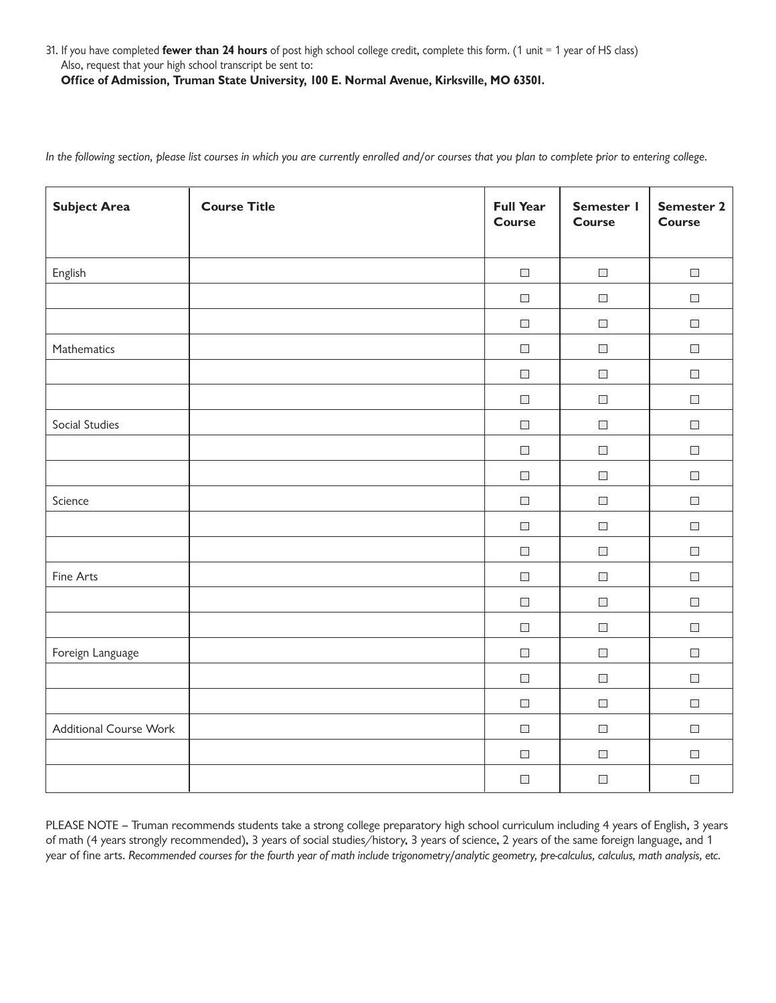31. If you have completed **fewer than 24 hours** of post high school college credit complete this form. (1 unit = 1 year of HS class) Also, request that your high school transcript be sent to:  **Office of Admission, Truman State University, 100 E. Normal Avenue, Kirksville, MO 63501.**

In the following section, please list courses in which you are currently enrolled and/or courses that you plan to complete prior to entering college.

| <b>Subject Area</b>           | <b>Course Title</b> | <b>Full Year</b><br><b>Course</b> | Semester I<br><b>Course</b> | <b>Semester 2</b><br><b>Course</b> |
|-------------------------------|---------------------|-----------------------------------|-----------------------------|------------------------------------|
| English                       |                     | $\overline{\phantom{a}}$          | $\overline{\phantom{a}}$    | $\Box$                             |
|                               |                     | $\Box$                            | $\Box$                      | $\Box$                             |
|                               |                     | $\overline{\phantom{a}}$          | $\overline{\phantom{a}}$    | $\Box$                             |
| Mathematics                   |                     | $\overline{\phantom{a}}$          | $\overline{\phantom{a}}$    | $\Box$                             |
|                               |                     | $\Box$                            | $\overline{\phantom{a}}$    | $\Box$                             |
|                               |                     | $\Box$                            | $\overline{\phantom{a}}$    | $\Box$                             |
| Social Studies                |                     | $\Box$                            | $\overline{\phantom{a}}$    | $\Box$                             |
|                               |                     | $\overline{\phantom{a}}$          | $\overline{\phantom{a}}$    | $\Box$                             |
|                               |                     | $\Box$                            | $\overline{\phantom{a}}$    | $\Box$                             |
| Science                       |                     | $\Box$                            | $\overline{\phantom{a}}$    | $\Box$                             |
|                               |                     | $\overline{\phantom{a}}$          | $\Box$                      | $\Box$                             |
|                               |                     | $\overline{\phantom{a}}$          | $\overline{\phantom{a}}$    | $\Box$                             |
| Fine Arts                     |                     | $\overline{\phantom{a}}$          | $\mathcal{L}_{\mathcal{A}}$ | $\Box$                             |
|                               |                     | $\Box$                            | $\overline{\phantom{a}}$    | $\Box$                             |
|                               |                     | $\Box$                            | $\overline{\phantom{a}}$    | $\Box$                             |
| Foreign Language              |                     | $\Box$                            | $\overline{\phantom{a}}$    | $\Box$                             |
|                               |                     | $\overline{\phantom{a}}$          | $\Box$                      | $\Box$                             |
|                               |                     | $\Box$                            | $\overline{\phantom{a}}$    | $\Box$                             |
| <b>Additional Course Work</b> |                     | $\overline{\phantom{a}}$          | $\overline{\phantom{a}}$    | $\Box$                             |
|                               |                     | $\overline{\phantom{a}}$          | $\Box$                      | $\Box$                             |
|                               |                     | $\Box$                            | $\Box$                      | $\Box$                             |

 PLEASE NOTE – Truman recommends students take a strong college preparatory high school curriculum including 4 years of English 3 years of math (4 years strongly recommended), 3 years of social studies/history, 3 years of science, 2 years of the same foreign language, and 1 year of fine arts. Recommended courses for the fourth year of math include trigonometry/analytic geometry, pre-calculus, calculus, math analysis, etc.